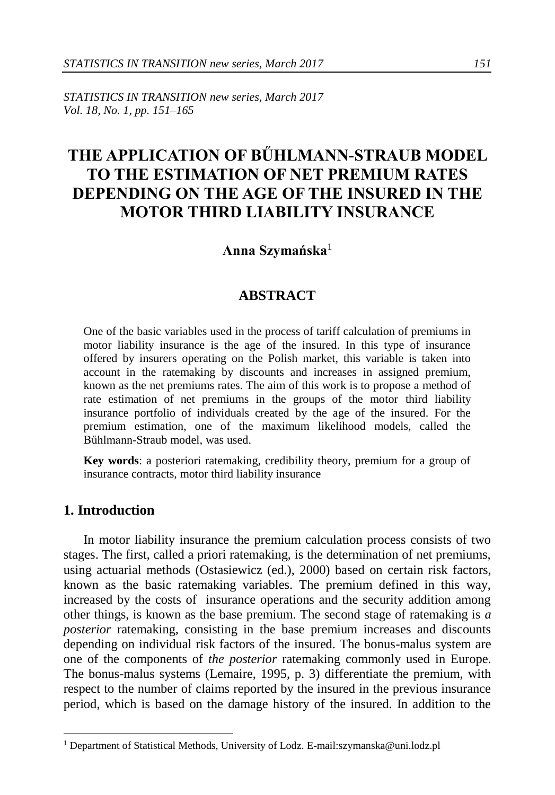*STATISTICS IN TRANSITION new series, March 2017 Vol. 18, No. 1, pp. 151–165*

# **THE APPLICATION OF BŰHLMANN-STRAUB MODEL TO THE ESTIMATION OF NET PREMIUM RATES DEPENDING ON THE AGE OF THE INSURED IN THE MOTOR THIRD LIABILITY INSURANCE**

## **Anna Szymańska**<sup>1</sup>

# **ABSTRACT**

One of the basic variables used in the process of tariff calculation of premiums in motor liability insurance is the age of the insured. In this type of insurance offered by insurers operating on the Polish market, this variable is taken into account in the ratemaking by discounts and increases in assigned premium, known as the net premiums rates. The aim of this work is to propose a method of rate estimation of net premiums in the groups of the motor third liability insurance portfolio of individuals created by the age of the insured. For the premium estimation, one of the maximum likelihood models, called the Bűhlmann-Straub model, was used.

**Key words**: a posteriori ratemaking, credibility theory, premium for a group of insurance contracts, motor third liability insurance

# **1. Introduction**

-

In motor liability insurance the premium calculation process consists of two stages. The first, called a priori ratemaking, is the determination of net premiums, using actuarial methods (Ostasiewicz (ed.), 2000) based on certain risk factors, known as the basic ratemaking variables. The premium defined in this way, increased by the costs of insurance operations and the security addition among other things, is known as the base premium. The second stage of ratemaking is *a posterior* ratemaking, consisting in the base premium increases and discounts depending on individual risk factors of the insured. The bonus-malus system are one of the components of *the posterior* ratemaking commonly used in Europe. The bonus-malus systems (Lemaire, 1995, p. 3) differentiate the premium, with respect to the number of claims reported by the insured in the previous insurance period, which is based on the damage history of the insured. In addition to the

<sup>&</sup>lt;sup>1</sup> Department of Statistical Methods, University of Lodz. E-mail:szymanska@uni.lodz.pl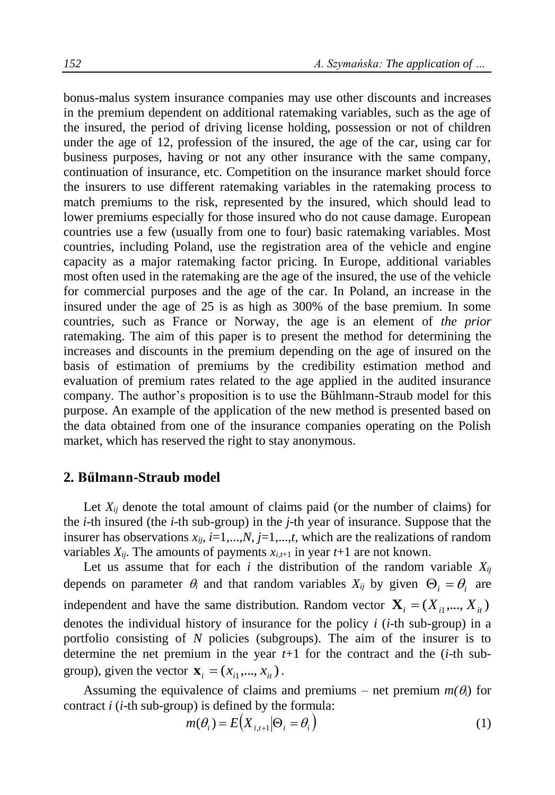bonus-malus system insurance companies may use other discounts and increases in the premium dependent on additional ratemaking variables, such as the age of the insured, the period of driving license holding, possession or not of children under the age of 12, profession of the insured, the age of the car, using car for business purposes, having or not any other insurance with the same company, continuation of insurance, etc. Competition on the insurance market should force the insurers to use different ratemaking variables in the ratemaking process to match premiums to the risk, represented by the insured, which should lead to lower premiums especially for those insured who do not cause damage. European countries use a few (usually from one to four) basic ratemaking variables. Most countries, including Poland, use the registration area of the vehicle and engine capacity as a major ratemaking factor pricing. In Europe, additional variables most often used in the ratemaking are the age of the insured, the use of the vehicle for commercial purposes and the age of the car. In Poland, an increase in the insured under the age of 25 is as high as 300% of the base premium. In some countries, such as France or Norway, the age is an element of *the prior* ratemaking. The aim of this paper is to present the method for determining the increases and discounts in the premium depending on the age of insured on the basis of estimation of premiums by the credibility estimation method and evaluation of premium rates related to the age applied in the audited insurance company. The author's proposition is to use the Bűhlmann-Straub model for this purpose. An example of the application of the new method is presented based on the data obtained from one of the insurance companies operating on the Polish market, which has reserved the right to stay anonymous.

#### **2. Bűlmann-Straub model**

Let  $X_{ij}$  denote the total amount of claims paid (or the number of claims) for the *i*-th insured (the *i*-th sub-group) in the *j*-th year of insurance. Suppose that the insurer has observations  $x_{ij}$ ,  $i=1,...,N$ ,  $j=1,...,t$ , which are the realizations of random variables  $X_{ii}$ . The amounts of payments  $x_{i,t+1}$  in year  $t+1$  are not known.

Let us assume that for each *i* the distribution of the random variable  $X_{ij}$ depends on parameter  $\theta_i$  and that random variables  $X_{ij}$  by given  $\Theta_i = \theta_i$  are independent and have the same distribution. Random vector  $\mathbf{X}_i = (X_{i1},..., X_{it})$ denotes the individual history of insurance for the policy *i* (*i*-th sub-group) in a portfolio consisting of *N* policies (subgroups). The aim of the insurer is to determine the net premium in the year *t*+1 for the contract and the (*i*-th subgroup), given the vector  $\mathbf{x}_i = (x_{i1},..., x_{it})$ .

Assuming the equivalence of claims and premiums – net premium  $m(\theta_i)$  for contract *i* (*i*-th sub-group) is defined by the formula:

$$
m(\theta_i) = E(X_{i,t+1}|\Theta_i = \theta_i)
$$
\n(1)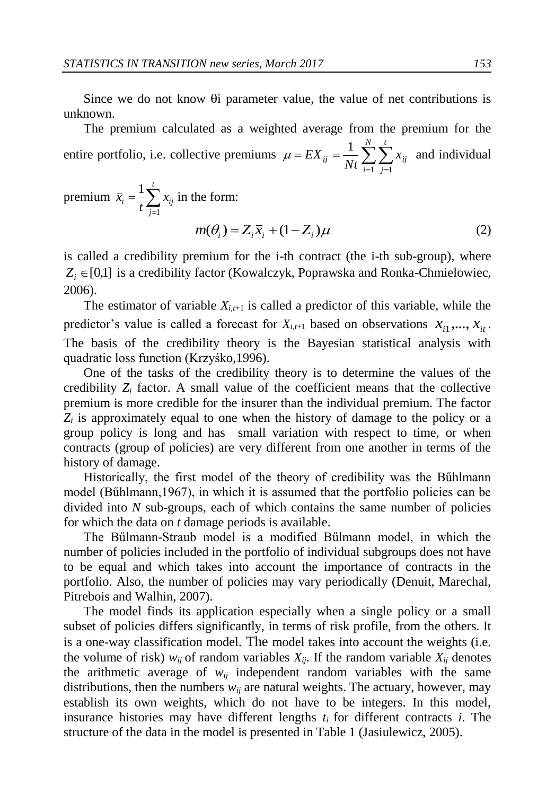Since we do not know  $\theta$  parameter value, the value of net contributions is unknown.

The premium calculated as a weighted average from the premium for the entire portfolio, i.e. collective premiums  $\mu = EX_{ij} = \frac{1}{Nt} \sum_{i=1}^{T} \sum_{j=1}^{N}$ *N i t j*  $\sum_{ij} = \frac{1}{Nt} \sum_{i=1}^{t} \sum_{j=1}^{t} x_{ij}$ *EX*  $-1$   $j=1$  $\mu = EX_{ii} = \frac{1}{N} \sum_{i=1}^{N} \sum_{i=1}^{t} x_{ii}$  and individual

premium  $\bar{x}_i = \frac{1}{t} \sum_{j=1}^{t}$ *t j*  $i = \frac{1}{t} \sum_{i=1}^{t} x_{ij}$ *x* 1  $\frac{1}{n} \sum_{i=1}^{n} x_{ii}$  in the form:

$$
m(\theta_i) = Z_i \overline{x}_i + (1 - Z_i)\mu \tag{2}
$$

is called a credibility premium for the i-th contract (the i-th sub-group), where  $Z_i \in [0,1]$  is a credibility factor (Kowalczyk, Poprawska and Ronka-Chmielowiec, 2006).

The estimator of variable  $X_{i,t+1}$  is called a predictor of this variable, while the predictor's value is called a forecast for  $X_{i,t+1}$  based on observations  $X_{i1},..., X_{it}$ . The basis of the credibility theory is the Bayesian statistical analysis with quadratic loss function (Krzyśko,1996).

One of the tasks of the credibility theory is to determine the values of the credibility  $Z_i$  factor. A small value of the coefficient means that the collective premium is more credible for the insurer than the individual premium. The factor  $Z_i$  is approximately equal to one when the history of damage to the policy or a group policy is long and has small variation with respect to time, or when contracts (group of policies) are very different from one another in terms of the history of damage.

Historically, the first model of the theory of credibility was the Bűhlmann model (Bűhlmann,1967), in which it is assumed that the portfolio policies can be divided into *N* sub-groups, each of which contains the same number of policies for which the data on *t* damage periods is available.

The Bűlmann-Straub model is a modified Bűlmann model, in which the number of policies included in the portfolio of individual subgroups does not have to be equal and which takes into account the importance of contracts in the portfolio. Also, the number of policies may vary periodically (Denuit, Marechal, Pitrebois and Walhin, 2007).

The model finds its application especially when a single policy or a small subset of policies differs significantly, in terms of risk profile, from the others. It is a one-way classification model. The model takes into account the weights (i.e. the volume of risk)  $w_{ij}$  of random variables  $X_{ij}$ . If the random variable  $X_{ij}$  denotes the arithmetic average of  $w_{ij}$  independent random variables with the same distributions, then the numbers  $w_{ij}$  are natural weights. The actuary, however, may establish its own weights, which do not have to be integers. In this model, insurance histories may have different lengths  $t_i$  for different contracts  $i$ . The structure of the data in the model is presented in Table 1 (Jasiulewicz, 2005).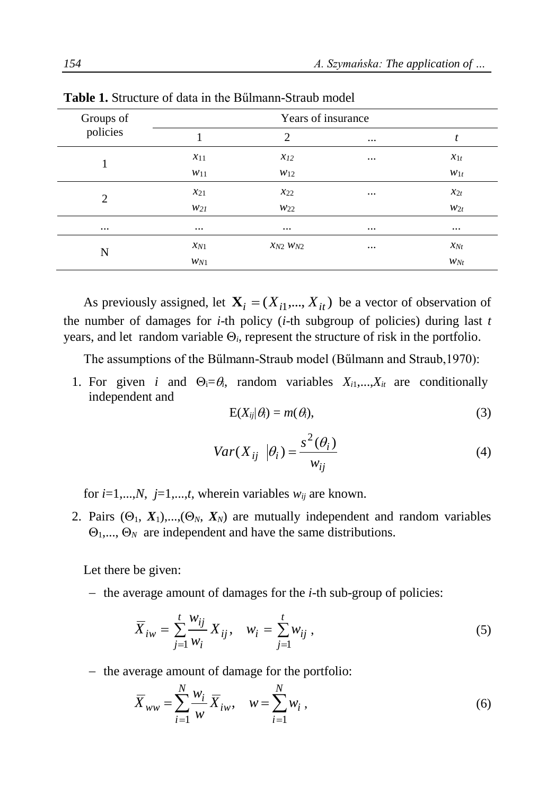| Groups of | Years of insurance |                   |          |          |  |  |  |  |
|-----------|--------------------|-------------------|----------|----------|--|--|--|--|
| policies  |                    | 2                 | $\cdots$ | t        |  |  |  |  |
|           | $x_{11}$           | $x_{12}$          | $\cdots$ | $x_{1t}$ |  |  |  |  |
|           | $w_{11}$           | $w_{12}$          |          | $W_{1t}$ |  |  |  |  |
| 2         | $x_{21}$           | $x_{22}$          | $\cdots$ | $x_{2t}$ |  |  |  |  |
|           | W2I                | W22               |          | $W_{2t}$ |  |  |  |  |
| $\cdots$  | $\cdots$           | $\cdots$          | $\cdots$ | $\cdots$ |  |  |  |  |
| N         | $x_{N1}$           | $x_{N2}$ $w_{N2}$ | $\cdots$ | $x_{Nt}$ |  |  |  |  |
|           | $W_{N1}$           |                   |          | $W_{Nt}$ |  |  |  |  |

**Table 1.** Structure of data in the Bűlmann-Straub model

As previously assigned, let  $X_i = (X_{i1},..., X_{it})$  be a vector of observation of the number of damages for *i*-th policy (*i*-th subgroup of policies) during last *t* years, and let random variable  $\Theta_i$ , represent the structure of risk in the portfolio.

The assumptions of the Bűlmann-Straub model (Bűlmann and Straub,1970):

1. For given *i* and  $\Theta_i = \theta_i$ , random variables  $X_{i1},...,X_{it}$  are conditionally independent and

$$
E(X_{ij}|\theta_i) = m(\theta_i),\tag{3}
$$

$$
Var(X_{ij} \mid \theta_i) = \frac{s^2(\theta_i)}{w_{ij}}
$$
 (4)

for  $i=1,...,N$ ,  $j=1,...,t$ , wherein variables  $w_{ij}$  are known.

2. Pairs  $(\Theta_1, X_1),...,(\Theta_N, X_N)$  are mutually independent and random variables  $\Theta_1, \ldots, \Theta_N$  are independent and have the same distributions.

Let there be given:

- the average amount of damages for the *i*-th sub-group of policies:

$$
\overline{X}_{iw} = \sum_{j=1}^{t} \frac{w_{ij}}{w_i} X_{ij}, \quad w_i = \sum_{j=1}^{t} w_{ij},
$$
\n(5)

- the average amount of damage for the portfolio:

$$
\overline{X}_{ww} = \sum_{i=1}^{N} \frac{w_i}{w} \overline{X}_{iw}, \quad w = \sum_{i=1}^{N} w_i,
$$
\n(6)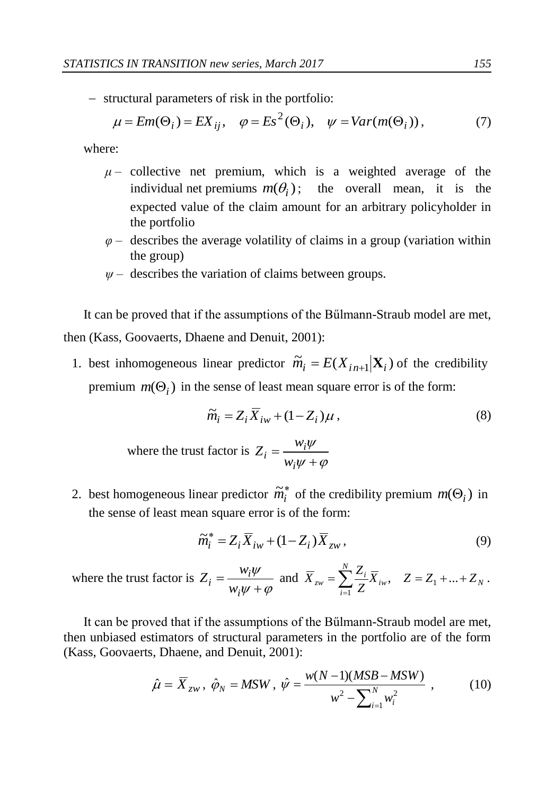structural parameters of risk in the portfolio:

$$
\mu = Em(\Theta_i) = EX_{ij}, \quad \varphi = Es^2(\Theta_i), \quad \psi = Var(m(\Theta_i)), \tag{7}
$$

where:

- $\mu$  collective net premium, which is a weighted average of the individual net premiums  $m(\theta_i)$ ; the overall mean, it is the expected value of the claim amount for an arbitrary policyholder in the portfolio
- *φ* describes the average volatility of claims in a group (variation within the group)
- *ψ* describes the variation of claims between groups.

It can be proved that if the assumptions of the Bűlmann-Straub model are met, then (Kass, Goovaerts, Dhaene and Denuit, 2001):

1. best inhomogeneous linear predictor  $\widetilde{m}_i = E(X_{i n+1} | \mathbf{X}_i)$  of the credibility premium  $m(\Theta_i)$  in the sense of least mean square error is of the form:

$$
\widetilde{m}_i = Z_i \overline{X}_{iw} + (1 - Z_i)\mu , \qquad (8)
$$

where the trust factor is  $i\psi + \varphi$  $_{i}\psi$  $\ddot{}$  $=$ *i*  $i = \frac{W_i}{W_i \psi}$  $Z_i = \frac{w}{\sqrt{2\pi}}$ 

2. best homogeneous linear predictor  $\tilde{m}_i^*$  of the credibility premium  $m(\Theta_i)$  in the sense of least mean square error is of the form:

$$
\widetilde{m}_i^* = Z_i \overline{X}_{iw} + (1 - Z_i) \overline{X}_{zw},\tag{9}
$$

where the trust factor is  $\partial_t \psi + \varphi$  $_{i}\psi$  $^{+}$  $=$ *i*  $i = \frac{W_i}{W_i \psi}$  $Z_i = \frac{w_i \psi}{\sqrt{w_i}}$  and  $\overline{X}_{zw} = \sum_{i=1}^{N} \frac{Z_i}{Z_i} \overline{X}_{iw}, \quad Z = Z_1 + ... + Z_N$ *N i*  $Z_{zw} = \sum_{i=1}^{\infty} \frac{Z_i}{Z} \overline{X}_{iw}, \quad Z = Z_1 + ... + Z_k$  $\overline{X}_{zw} = \sum_{i=1}^{N} \frac{Z_i}{Z} \overline{X}_{iw}, \quad Z = Z_1 + ... +$  $, \quad Z = Z_1 + ...$ 1 .

It can be proved that if the assumptions of the Bűlmann-Straub model are met, then unbiased estimators of structural parameters in the portfolio are of the form (Kass, Goovaerts, Dhaene, and Denuit, 2001):

$$
\hat{\mu} = \overline{X}_{zw}, \ \hat{\varphi}_N = MSW, \ \hat{\psi} = \frac{w(N-1)(MSB - MSW)}{w^2 - \sum_{i=1}^{N} w_i^2}, \tag{10}
$$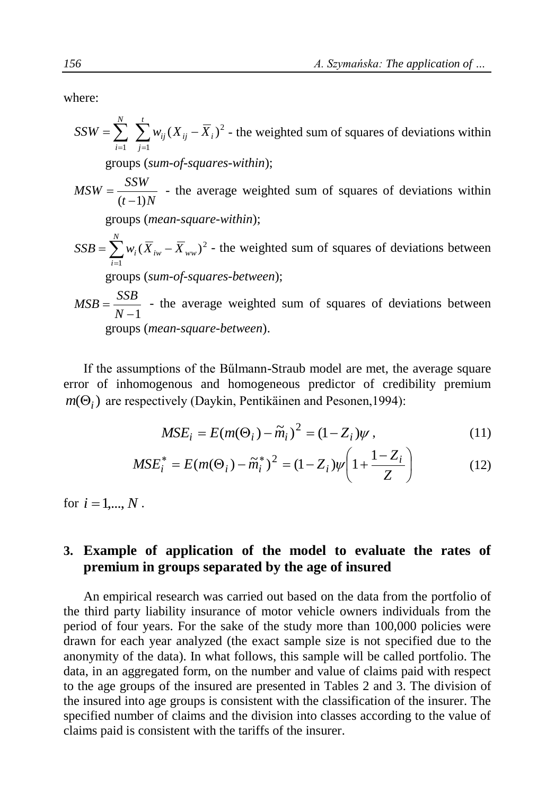where:

$$
SSW = \sum_{i=1}^{N} \sum_{j=1}^{t} w_{ij} (X_{ij} - \overline{X}_i)^2
$$
 - the weighted sum of squares of deviations within  
groups (sum-of-squares-within);  

$$
MSW = \frac{SSW}{(t-1)N}
$$
 - the average weighted sum of squares of deviations within  
groups (mean-square-within);  

$$
SSB = \sum_{i=1}^{N} w_i (\overline{X}_{iw} - \overline{X}_{ww})^2
$$
 - the weighted sum of squares of deviations between  
groups (sum-of-squares-between);  

$$
MSB = \frac{SSB}{N-1}
$$
 - the average weighted sum of squares of deviations between

groups (*mean-square-between*).

If the assumptions of the Bűlmann-Straub model are met, the average square error of inhomogenous and homogeneous predictor of credibility premium  $m(\Theta_i)$  are respectively (Daykin, Pentikäinen and Pesonen, 1994):

$$
MSE_i = E(m(\Theta_i) - \widetilde{m}_i)^2 = (1 - Z_i)\psi, \qquad (11)
$$

$$
MSE_i^* = E(m(\Theta_i) - \tilde{m}_i^*)^2 = (1 - Z_i)\psi \left(1 + \frac{1 - Z_i}{Z}\right)
$$
 (12)

for  $i = 1, ..., N$ .

## **3. Example of application of the model to evaluate the rates of premium in groups separated by the age of insured**

An empirical research was carried out based on the data from the portfolio of the third party liability insurance of motor vehicle owners individuals from the period of four years. For the sake of the study more than 100,000 policies were drawn for each year analyzed (the exact sample size is not specified due to the anonymity of the data). In what follows, this sample will be called portfolio. The data, in an aggregated form, on the number and value of claims paid with respect to the age groups of the insured are presented in Tables 2 and 3. The division of the insured into age groups is consistent with the classification of the insurer. The specified number of claims and the division into classes according to the value of claims paid is consistent with the tariffs of the insurer.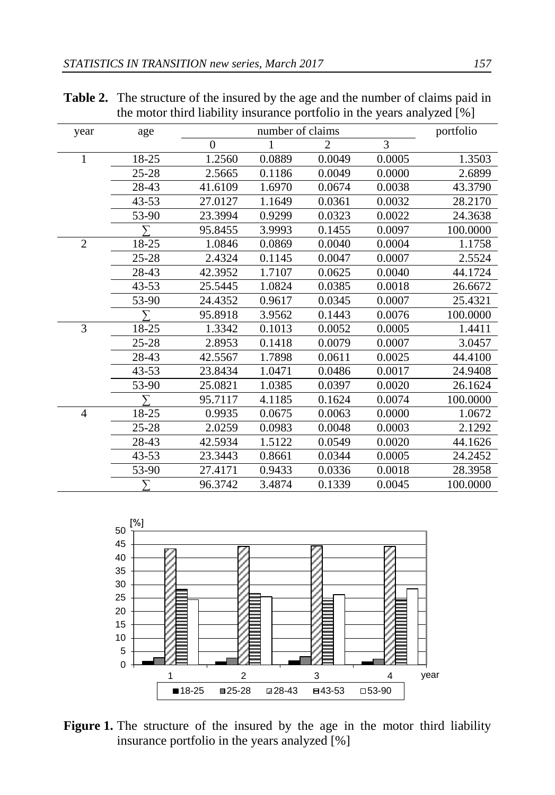| year           | age       |          | number of claims |                |        | portfolio |
|----------------|-----------|----------|------------------|----------------|--------|-----------|
|                |           | $\Omega$ | $\mathbf{1}$     | $\mathfrak{D}$ | 3      |           |
| $\mathbf{1}$   | 18-25     | 1.2560   | 0.0889           | 0.0049         | 0.0005 | 1.3503    |
|                | $25 - 28$ | 2.5665   | 0.1186           | 0.0049         | 0.0000 | 2.6899    |
|                | 28-43     | 41.6109  | 1.6970           | 0.0674         | 0.0038 | 43.3790   |
|                | $43 - 53$ | 27.0127  | 1.1649           | 0.0361         | 0.0032 | 28.2170   |
|                | 53-90     | 23.3994  | 0.9299           | 0.0323         | 0.0022 | 24.3638   |
|                |           | 95.8455  | 3.9993           | 0.1455         | 0.0097 | 100.0000  |
| $\overline{2}$ | 18-25     | 1.0846   | 0.0869           | 0.0040         | 0.0004 | 1.1758    |
|                | $25 - 28$ | 2.4324   | 0.1145           | 0.0047         | 0.0007 | 2.5524    |
|                | 28-43     | 42.3952  | 1.7107           | 0.0625         | 0.0040 | 44.1724   |
|                | $43 - 53$ | 25.5445  | 1.0824           | 0.0385         | 0.0018 | 26.6672   |
|                | 53-90     | 24.4352  | 0.9617           | 0.0345         | 0.0007 | 25.4321   |
|                | У         | 95.8918  | 3.9562           | 0.1443         | 0.0076 | 100.0000  |
| $\overline{3}$ | 18-25     | 1.3342   | 0.1013           | 0.0052         | 0.0005 | 1.4411    |
|                | $25 - 28$ | 2.8953   | 0.1418           | 0.0079         | 0.0007 | 3.0457    |
|                | 28-43     | 42.5567  | 1.7898           | 0.0611         | 0.0025 | 44.4100   |
|                | $43 - 53$ | 23.8434  | 1.0471           | 0.0486         | 0.0017 | 24.9408   |
|                | 53-90     | 25.0821  | 1.0385           | 0.0397         | 0.0020 | 26.1624   |
|                | У         | 95.7117  | 4.1185           | 0.1624         | 0.0074 | 100.0000  |
| 4              | 18-25     | 0.9935   | 0.0675           | 0.0063         | 0.0000 | 1.0672    |
|                | $25 - 28$ | 2.0259   | 0.0983           | 0.0048         | 0.0003 | 2.1292    |
|                | 28-43     | 42.5934  | 1.5122           | 0.0549         | 0.0020 | 44.1626   |
|                | $43 - 53$ | 23.3443  | 0.8661           | 0.0344         | 0.0005 | 24.2452   |
|                | 53-90     | 27.4171  | 0.9433           | 0.0336         | 0.0018 | 28.3958   |
|                | ᡪ         | 96.3742  | 3.4874           | 0.1339         | 0.0045 | 100.0000  |

**Table 2.** The structure of the insured by the age and the number of claims paid in the motor third liability insurance portfolio in the years analyzed  $\lceil\% \rceil$ 



Figure 1. The structure of the insured by the age in the motor third liability insurance portfolio in the years analyzed [%]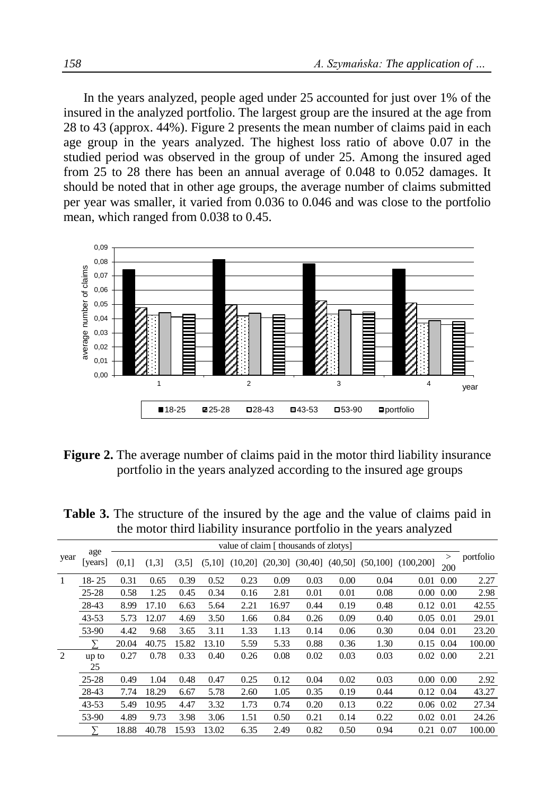In the years analyzed, people aged under 25 accounted for just over 1% of the insured in the analyzed portfolio. The largest group are the insured at the age from 28 to 43 (approx. 44%). Figure 2 presents the mean number of claims paid in each age group in the years analyzed. The highest loss ratio of above 0.07 in the studied period was observed in the group of under 25. Among the insured aged from 25 to 28 there has been an annual average of 0.048 to 0.052 damages. It should be noted that in other age groups, the average number of claims submitted per year was smaller, it varied from 0.036 to 0.046 and was close to the portfolio mean, which ranged from 0.038 to 0.45.



**Figure 2.** The average number of claims paid in the motor third liability insurance portfolio in the years analyzed according to the insured age groups

**Table 3.** The structure of the insured by the age and the value of claims paid in the motor third liability insurance portfolio in the years analyzed

|                |               |       |       |       |        |         |          | value of claim [ thousands of zlotys] |          |      |                          |                   |           |
|----------------|---------------|-------|-------|-------|--------|---------|----------|---------------------------------------|----------|------|--------------------------|-------------------|-----------|
| year           | age<br>years] | (0,1] | (1,3] | (3,5) | (5,10] | (10,20] | (20, 30] | (30, 40]                              | (40, 50] |      | $(50, 100]$ $(100, 200]$ | $\geq$<br>200     | portfolio |
| 1              | $18 - 25$     | 0.31  | 0.65  | 0.39  | 0.52   | 0.23    | 0.09     | 0.03                                  | 0.00     | 0.04 | 0.01                     | 0.00              | 2.27      |
|                | $25 - 28$     | 0.58  | 1.25  | 0.45  | 0.34   | 0.16    | 2.81     | 0.01                                  | 0.01     | 0.08 |                          | $0.00\ 0.00$      | 2.98      |
|                | 28-43         | 8.99  | 17.10 | 6.63  | 5.64   | 2.21    | 16.97    | 0.44                                  | 0.19     | 0.48 | 0.12 0.01                |                   | 42.55     |
|                | $43 - 53$     | 5.73  | 12.07 | 4.69  | 3.50   | 1.66    | 0.84     | 0.26                                  | 0.09     | 0.40 | $0.05$ 0.01              |                   | 29.01     |
|                | 53-90         | 4.42  | 9.68  | 3.65  | 3.11   | 1.33    | 1.13     | 0.14                                  | 0.06     | 0.30 | 0.04                     | 0.01              | 23.20     |
|                |               | 20.04 | 40.75 | 15.82 | 13.10  | 5.59    | 5.33     | 0.88                                  | 0.36     | 1.30 |                          | 0.15 0.04         | 100.00    |
| $\overline{2}$ | up to         | 0.27  | 0.78  | 0.33  | 0.40   | 0.26    | 0.08     | 0.02                                  | 0.03     | 0.03 |                          | $0.02 \quad 0.00$ | 2.21      |
|                | 25            |       |       |       |        |         |          |                                       |          |      |                          |                   |           |
|                | $25 - 28$     | 0.49  | 1.04  | 0.48  | 0.47   | 0.25    | 0.12     | 0.04                                  | 0.02     | 0.03 |                          | $0.00\ 0.00$      | 2.92      |
|                | 28-43         | 7.74  | 18.29 | 6.67  | 5.78   | 2.60    | 1.05     | 0.35                                  | 0.19     | 0.44 |                          | 0.12 0.04         | 43.27     |
|                | $43 - 53$     | 5.49  | 10.95 | 4.47  | 3.32   | 1.73    | 0.74     | 0.20                                  | 0.13     | 0.22 | $0.06$ $0.02$            |                   | 27.34     |
|                | 53-90         | 4.89  | 9.73  | 3.98  | 3.06   | 1.51    | 0.50     | 0.21                                  | 0.14     | 0.22 | 0.02                     | 0.01              | 24.26     |
|                | Σ             | 18.88 | 40.78 | 15.93 | 13.02  | 6.35    | 2.49     | 0.82                                  | 0.50     | 0.94 | 0.21                     | 0.07              | 100.00    |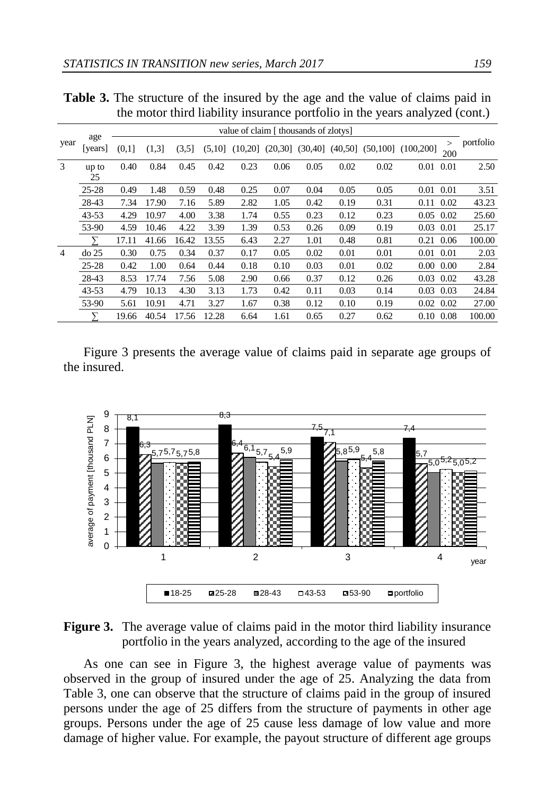3 up to 25

|      |                |  |  |                                       |  | $\sim$ and $\sim$ 1.1.0 divergence of the induced of the time the state of vitaming pure in<br>the motor third liability insurance portfolio in the years analyzed (cont.) |           |
|------|----------------|--|--|---------------------------------------|--|----------------------------------------------------------------------------------------------------------------------------------------------------------------------------|-----------|
|      |                |  |  | value of claim [ thousands of zlotys] |  |                                                                                                                                                                            |           |
| year | age<br>[years] |  |  |                                       |  | $(0,1]$ $(1,3]$ $(3,5]$ $(5,10]$ $(10,20]$ $(20,30]$ $(30,40]$ $(40,50]$ $(50,100]$ $(100,200]$ $\frac{>}{200}$                                                            | portfolio |

25-28 0.49 1.48 0.59 0.48 0.25 0.07 0.04 0.05 0.05 0.01 0.01 3.51 28-43 7.34 17.90 7.16 5.89 2.82 1.05 0.42 0.19 0.31 0.11 0.02 43.23 43-53 4.29 10.97 4.00 3.38 1.74 0.55 0.23 0.12 0.23 0.05 0.02 25.60

0.40 0.84 0.45 0.42 0.23 0.06 0.05 0.02 0.02 0.01 0.01 2.50

**Table 3.** The structure of the insured by the age and the value of claims paid in

|   | 53-90     | 4.59  | 10.46 | 4.22        | 3.39 | 1.39 | 0.53 | 0.26 | 0.09 | 0.19 | $0.03$ 0.01       | 25.17  |
|---|-----------|-------|-------|-------------|------|------|------|------|------|------|-------------------|--------|
|   |           | 17.11 | 41.66 | 16.42 13.55 |      | 6.43 | 2.27 | 1.01 | 0.48 | 0.81 | $0.21$ 0.06       | 100.00 |
| 4 | $do$ 25   | 0.30  | 0.75  | 0.34        | 0.37 | 0.17 | 0.05 | 0.02 | 0.01 | 0.01 | 0.01 0.01         | 2.03   |
|   | $25 - 28$ | 0.42  | 1.00  | 0.64        | 0.44 | 0.18 | 0.10 | 0.03 | 0.01 | 0.02 | $0.00\ 0.00$      | 2.84   |
|   | 28-43     | 8.53  | 17.74 | 7.56        | 5.08 | 2.90 | 0.66 | 0.37 | 0.12 | 0.26 | $0.03 \quad 0.02$ | 43.28  |
|   | $43 - 53$ | 4.79  | 10.13 | 4.30        | 3.13 | 1.73 | 0.42 | 0.11 | 0.03 | 0.14 | $0.03$ 0.03       | 24.84  |
|   | 53-90     | 5.61  | 10.91 | 4.71        | 3.27 | 1.67 | 0.38 | 0.12 | 0.10 | 0.19 | $0.02 \quad 0.02$ | 27.00  |
|   |           | 19.66 | 40.54 | 17.56 12.28 |      | 6.64 | 1.61 | 0.65 | 0.27 | 0.62 | 0.10 0.08         | 100.00 |
|   |           |       |       |             |      |      |      |      |      |      |                   |        |

Figure 3 presents the average value of claims paid in separate age groups of the insured.



**Figure 3.** The average value of claims paid in the motor third liability insurance portfolio in the years analyzed, according to the age of the insured

As one can see in Figure 3, the highest average value of payments was observed in the group of insured under the age of 25. Analyzing the data from Table 3, one can observe that the structure of claims paid in the group of insured persons under the age of 25 differs from the structure of payments in other age groups. Persons under the age of 25 cause less damage of low value and more damage of higher value. For example, the payout structure of different age groups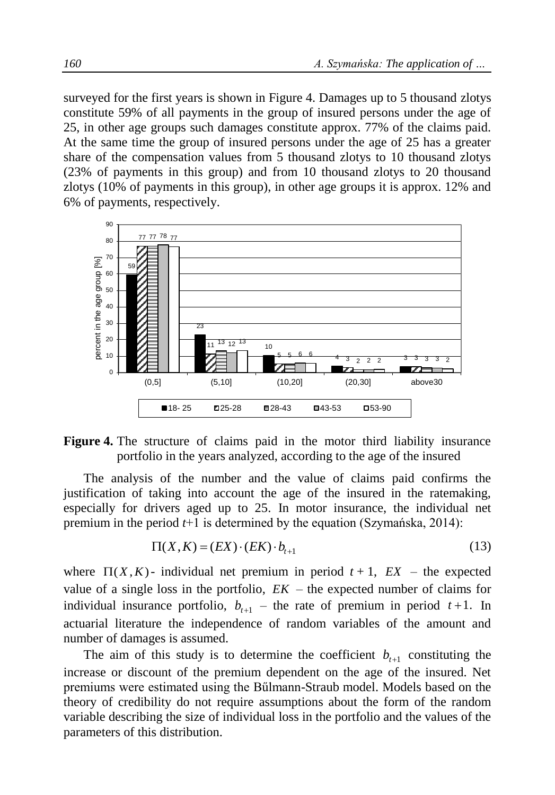surveyed for the first years is shown in Figure 4. Damages up to 5 thousand zlotys constitute 59% of all payments in the group of insured persons under the age of 25, in other age groups such damages constitute approx. 77% of the claims paid. At the same time the group of insured persons under the age of 25 has a greater share of the compensation values from 5 thousand zlotys to 10 thousand zlotys (23% of payments in this group) and from 10 thousand zlotys to 20 thousand zlotys (10% of payments in this group), in other age groups it is approx. 12% and 6% of payments, respectively.



**Figure 4.** The structure of claims paid in the motor third liability insurance portfolio in the years analyzed, according to the age of the insured

The analysis of the number and the value of claims paid confirms the justification of taking into account the age of the insured in the ratemaking, especially for drivers aged up to 25. In motor insurance, the individual net premium in the period *t*+1 is determined by the equation (Szymańska, 2014):

$$
\Pi(X, K) = (EX) \cdot (EK) \cdot b_{t+1} \tag{13}
$$

where  $\Pi(X, K)$ - individual net premium in period  $t + 1$ ,  $EX$  – the expected value of a single loss in the portfolio,  $EK$  – the expected number of claims for individual insurance portfolio,  $b_{t+1}$  – the rate of premium in period  $t+1$ . In actuarial literature the independence of random variables of the amount and number of damages is assumed.

The aim of this study is to determine the coefficient  $b_{t+1}$  constituting the increase or discount of the premium dependent on the age of the insured. Net premiums were estimated using the Bűlmann-Straub model. Models based on the theory of credibility do not require assumptions about the form of the random variable describing the size of individual loss in the portfolio and the values of the parameters of this distribution.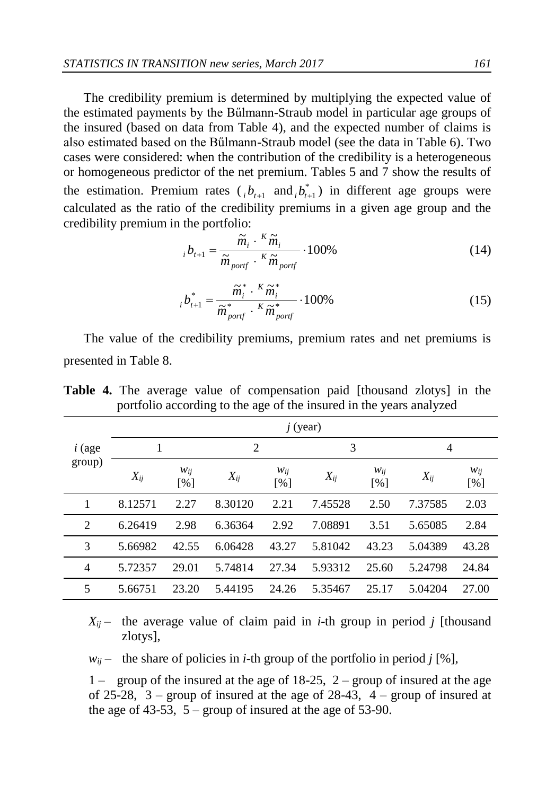The credibility premium is determined by multiplying the expected value of the estimated payments by the Bűlmann-Straub model in particular age groups of the insured (based on data from Table 4), and the expected number of claims is also estimated based on the Bűlmann-Straub model (see the data in Table 6). Two cases were considered: when the contribution of the credibility is a heterogeneous or homogeneous predictor of the net premium. Tables 5 and 7 show the results of the estimation. Premium rates  $\binom{n}{i}$  *b*<sub>*t*+1</sub> and  $\binom{n}{i}$  *i*<sub>*t*</sub> in different age groups were calculated as the ratio of the credibility premiums in a given age group and the credibility premium in the portfolio:

$$
i_{t+1} = \frac{\widetilde{m}_i \cdot {}^K \widetilde{m}_i}{\widetilde{m}_{port} \cdot {}^K \widetilde{m}_{port}} \cdot 100\%
$$
\n(14)

$$
i b_{t+1}^* = \frac{\widetilde{m}_i^* \cdot {^K \widetilde{m}_i^*}}{\widetilde{m}_{port}^* \cdot {^K \widetilde{m}_{port}^*}} \cdot 100\%
$$
\n(15)

The value of the credibility premiums, premium rates and net premiums is presented in Table 8.

|                    | $j$ (year) |                 |          |            |          |                 |          |                 |  |  |  |
|--------------------|------------|-----------------|----------|------------|----------|-----------------|----------|-----------------|--|--|--|
| $i$ (age<br>group) | 1          |                 | 2        |            |          | 3               |          | 4               |  |  |  |
|                    | $X_{ij}$   | $W_{ij}$<br>[%] | $X_{ij}$ | Wij<br>[%] | $X_{ij}$ | $W_{ij}$<br>[%] | $X_{ij}$ | $W_{ij}$<br>[%] |  |  |  |
| 1                  | 8.12571    | 2.27            | 8.30120  | 2.21       | 7.45528  | 2.50            | 7.37585  | 2.03            |  |  |  |
| 2                  | 6.26419    | 2.98            | 6.36364  | 2.92       | 7.08891  | 3.51            | 5.65085  | 2.84            |  |  |  |
| 3                  | 5.66982    | 42.55           | 6.06428  | 43.27      | 5.81042  | 43.23           | 5.04389  | 43.28           |  |  |  |
| $\overline{4}$     | 5.72357    | 29.01           | 5.74814  | 27.34      | 5.93312  | 25.60           | 5.24798  | 24.84           |  |  |  |
| 5                  | 5.66751    | 23.20           | 5.44195  | 24.26      | 5.35467  | 25.17           | 5.04204  | 27.00           |  |  |  |

**Table 4.** The average value of compensation paid [thousand zlotys] in the portfolio according to the age of the insured in the years analyzed

 $X_{ii}$  – the average value of claim paid in *i*-th group in period *j* [thousand zlotys],

 $w_{ij}$  – the share of policies in *i*-th group of the portfolio in period *j* [%],

1 – group of the insured at the age of  $18-25$ , 2 – group of insured at the age of 25-28,  $3$  – group of insured at the age of 28-43,  $4$  – group of insured at the age of 43-53,  $5 -$  group of insured at the age of 53-90.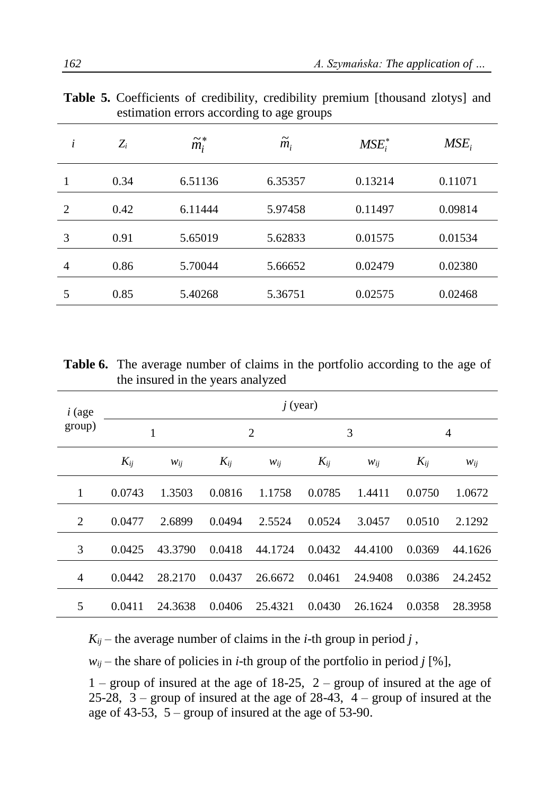|                | $\alpha$ commution critics according to age groups |                 |                     |           |         |  |  |  |  |  |  |
|----------------|----------------------------------------------------|-----------------|---------------------|-----------|---------|--|--|--|--|--|--|
| i              | $Z_i$                                              | $\tilde{m}_i^*$ | $\widetilde{m}_{i}$ | $MSE_i^*$ | $MSE_i$ |  |  |  |  |  |  |
|                | 0.34                                               | 6.51136         | 6.35357             | 0.13214   | 0.11071 |  |  |  |  |  |  |
| $\mathfrak{D}$ | 0.42                                               | 6.11444         | 5.97458             | 0.11497   | 0.09814 |  |  |  |  |  |  |
| 3              | 0.91                                               | 5.65019         | 5.62833             | 0.01575   | 0.01534 |  |  |  |  |  |  |
| 4              | 0.86                                               | 5.70044         | 5.66652             | 0.02479   | 0.02380 |  |  |  |  |  |  |
| 5              | 0.85                                               | 5.40268         | 5.36751             | 0.02575   | 0.02468 |  |  |  |  |  |  |

**Table 5.** Coefficients of credibility, credibility premium [thousand zlotys] and estimation errors according to age groups

**Table 6.** The average number of claims in the portfolio according to the age of the insured in the years analyzed

| $i$ (age | $j$ (year) |          |                |          |          |          |          |          |  |  |  |
|----------|------------|----------|----------------|----------|----------|----------|----------|----------|--|--|--|
| group)   | 1          |          | $\overline{2}$ |          |          | 3        |          | 4        |  |  |  |
|          | $K_{ij}$   | $W_{ij}$ | $K_{ij}$       | $W_{ij}$ | $K_{ij}$ | $W_{ij}$ | $K_{ij}$ | $W_{ij}$ |  |  |  |
| 1        | 0.0743     | 1.3503   | 0.0816         | 1.1758   | 0.0785   | 1.4411   | 0.0750   | 1.0672   |  |  |  |
| 2        | 0.0477     | 2.6899   | 0.0494         | 2.5524   | 0.0524   | 3.0457   | 0.0510   | 2.1292   |  |  |  |
| 3        | 0.0425     | 43.3790  | 0.0418         | 44.1724  | 0.0432   | 44.4100  | 0.0369   | 44.1626  |  |  |  |
| 4        | 0.0442     | 28.2170  | 0.0437         | 26.6672  | 0.0461   | 24.9408  | 0.0386   | 24.2452  |  |  |  |
| 5        | 0.0411     | 24.3638  | 0.0406         | 25.4321  | 0.0430   | 26.1624  | 0.0358   | 28.3958  |  |  |  |

 $K_{ij}$  – the average number of claims in the *i*-th group in period *j*,

 $w_{ij}$  – the share of policies in *i*-th group of the portfolio in period *j* [%],

 $1$  – group of insured at the age of 18-25,  $2$  – group of insured at the age of 25-28,  $3 -$  group of insured at the age of 28-43,  $4 -$  group of insured at the age of 43-53, 5 – group of insured at the age of 53-90.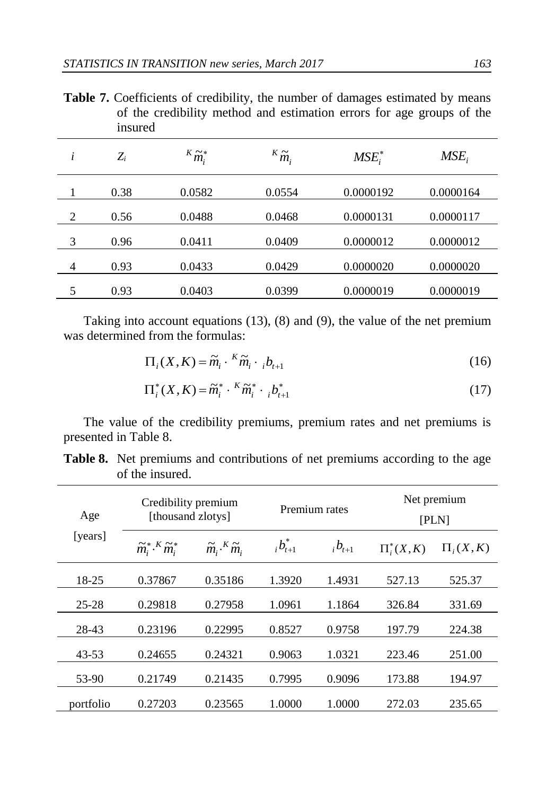Table 7. Coefficients of credibility, the number of damages estimated by means of the credibility method and estimation errors for age groups of the insured

| i | $Z_i$ | ${}^K\widetilde{m}_{i}^*$ | ${}^K\widetilde{m}_i$ | $MSE_i^*$ | $MSE_i$   |
|---|-------|---------------------------|-----------------------|-----------|-----------|
|   | 0.38  | 0.0582                    | 0.0554                | 0.0000192 | 0.0000164 |
| 2 | 0.56  | 0.0488                    | 0.0468                | 0.0000131 | 0.0000117 |
| 3 | 0.96  | 0.0411                    | 0.0409                | 0.0000012 | 0.0000012 |
| 4 | 0.93  | 0.0433                    | 0.0429                | 0.0000020 | 0.0000020 |
| 5 | 0.93  | 0.0403                    | 0.0399                | 0.0000019 | 0.0000019 |
|   |       |                           |                       |           |           |

Taking into account equations (13), (8) and (9), the value of the net premium was determined from the formulas:

$$
\Pi_i(X, K) = \widetilde{m}_i \cdot {}^K \widetilde{m}_i \cdot {}_{i} b_{t+1} \tag{16}
$$

$$
\Pi_i^*(X, K) = \widetilde{m}_i^* \cdot {}^K \widetilde{m}_i^* \cdot {}_{i} b_{t+1}^* \tag{17}
$$

The value of the credibility premiums, premium rates and net premiums is presented in Table 8.

| Age       | Credibility premium<br>[thousand zlotys]                       |                                                        |                   | Premium rates | Net premium<br><b>[PLN]</b> |              |  |
|-----------|----------------------------------------------------------------|--------------------------------------------------------|-------------------|---------------|-----------------------------|--------------|--|
| [years]   | $\widetilde{m}_{i}^{*}$ . <sup>K</sup> $\widetilde{m}_{i}^{*}$ | $\widetilde{m}_{i}$ . <sup>K</sup> $\widetilde{m}_{i}$ | $_{i}b_{t+1}^{*}$ | $_{i}b_{t+1}$ | $\Pi_i^*(X,K)$              | $\Pi_i(X,K)$ |  |
| 18-25     | 0.37867                                                        | 0.35186                                                | 1.3920            | 1.4931        | 527.13                      | 525.37       |  |
| $25 - 28$ | 0.29818                                                        | 0.27958                                                | 1.0961            | 1.1864        | 326.84                      | 331.69       |  |
| 28-43     | 0.23196                                                        | 0.22995                                                | 0.8527            | 0.9758        | 197.79                      | 224.38       |  |
| 43-53     | 0.24655                                                        | 0.24321                                                | 0.9063            | 1.0321        | 223.46                      | 251.00       |  |
| 53-90     | 0.21749                                                        | 0.21435                                                | 0.7995            | 0.9096        | 173.88                      | 194.97       |  |
| portfolio | 0.27203                                                        | 0.23565                                                | 1.0000            | 1.0000        | 272.03                      | 235.65       |  |

**Table 8.** Net premiums and contributions of net premiums according to the age of the insured.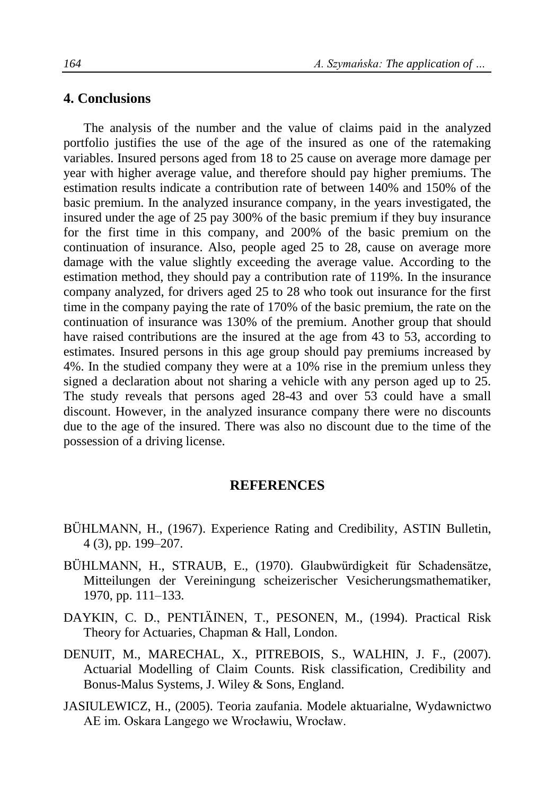## **4. Conclusions**

The analysis of the number and the value of claims paid in the analyzed portfolio justifies the use of the age of the insured as one of the ratemaking variables. Insured persons aged from 18 to 25 cause on average more damage per year with higher average value, and therefore should pay higher premiums. The estimation results indicate a contribution rate of between 140% and 150% of the basic premium. In the analyzed insurance company, in the years investigated, the insured under the age of 25 pay 300% of the basic premium if they buy insurance for the first time in this company, and 200% of the basic premium on the continuation of insurance. Also, people aged 25 to 28, cause on average more damage with the value slightly exceeding the average value. According to the estimation method, they should pay a contribution rate of 119%. In the insurance company analyzed, for drivers aged 25 to 28 who took out insurance for the first time in the company paying the rate of 170% of the basic premium, the rate on the continuation of insurance was 130% of the premium. Another group that should have raised contributions are the insured at the age from 43 to 53, according to estimates. Insured persons in this age group should pay premiums increased by 4%. In the studied company they were at a 10% rise in the premium unless they signed a declaration about not sharing a vehicle with any person aged up to 25. The study reveals that persons aged 28-43 and over 53 could have a small discount. However, in the analyzed insurance company there were no discounts due to the age of the insured. There was also no discount due to the time of the possession of a driving license.

#### **REFERENCES**

- BÜHLMANN, H., (1967). Experience Rating and Credibility, ASTIN Bulletin, 4 (3), pp. 199–207.
- BÜHLMANN, H., STRAUB, E., (1970). Glaubwürdigkeit für Schadensätze, Mitteilungen der Vereiningung scheizerischer Vesicherungsmathematiker, 1970, pp. 111–133.
- DAYKIN, C. D., PENTIÄINEN, T., PESONEN, M., (1994). Practical Risk Theory for Actuaries, Chapman & Hall, London.
- DENUIT, M., MARECHAL, X., PITREBOIS, S., WALHIN, J. F., (2007). Actuarial Modelling of Claim Counts. Risk classification, Credibility and Bonus-Malus Systems, J. Wiley & Sons, England.
- JASIULEWICZ, H., (2005). Teoria zaufania. Modele aktuarialne, Wydawnictwo AE im. Oskara Langego we Wrocławiu, Wrocław.